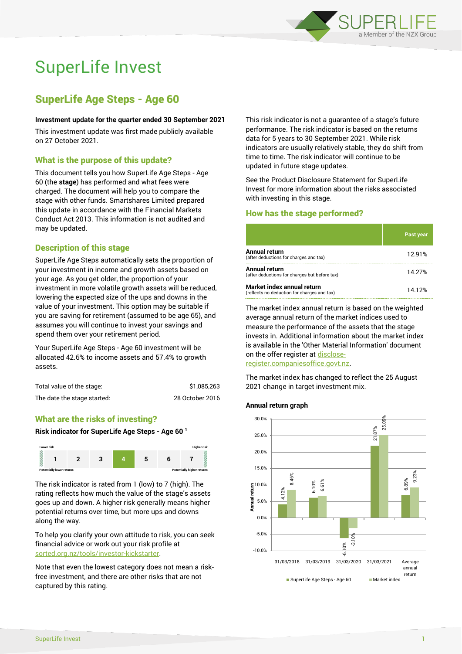

# SuperLife Invest

# SuperLife Age Steps - Age 60

#### **Investment update for the quarter ended 30 September 2021**

This investment update was first made publicly available on 27 October 2021.

# What is the purpose of this update?

This document tells you how SuperLife Age Steps - Age 60 (the **stage**) has performed and what fees were charged. The document will help you to compare the stage with other funds. Smartshares Limited prepared this update in accordance with the Financial Markets Conduct Act 2013. This information is not audited and may be updated.

# Description of this stage

SuperLife Age Steps automatically sets the proportion of your investment in income and growth assets based on your age. As you get older, the proportion of your investment in more volatile growth assets will be reduced, lowering the expected size of the ups and downs in the value of your investment. This option may be suitable if you are saving for retirement (assumed to be age 65), and assumes you will continue to invest your savings and spend them over your retirement period.

Your SuperLife Age Steps - Age 60 investment will be allocated 42.6% to income assets and 57.4% to growth assets.

| Total value of the stage:   | \$1,085,263     |
|-----------------------------|-----------------|
| The date the stage started: | 28 October 2016 |

# What are the risks of investing?

#### **Risk indicator for SuperLife Age Steps - Age 60 <sup>1</sup>**



The risk indicator is rated from 1 (low) to 7 (high). The rating reflects how much the value of the stage's assets goes up and down. A higher risk generally means higher potential returns over time, but more ups and downs along the way.

To help you clarify your own attitude to risk, you can seek financial advice or work out your risk profile at [sorted.org.nz/tools/investor-kickstarter.](http://www.sorted.org.nz/tools/investor-kickstarter)

Note that even the lowest category does not mean a riskfree investment, and there are other risks that are not captured by this rating.

This risk indicator is not a guarantee of a stage's future performance. The risk indicator is based on the returns data for 5 years to 30 September 2021. While risk indicators are usually relatively stable, they do shift from time to time. The risk indicator will continue to be updated in future stage updates.

See the Product Disclosure Statement for SuperLife Invest for more information about the risks associated with investing in this stage.

# How has the stage performed?

|                                                                           | Past year |
|---------------------------------------------------------------------------|-----------|
| Annual return<br>(after deductions for charges and tax)                   | 12.91%    |
| Annual return<br>(after deductions for charges but before tax)            | 14.27%    |
| Market index annual return<br>(reflects no deduction for charges and tax) | 14.12%    |

The market index annual return is based on the weighted average annual return of the market indices used to measure the performance of the assets that the stage invests in. Additional information about the market index is available in the 'Other Material Information' document on the offer register a[t disclose-](http://www.disclose-register.companiesoffice.govt.nz/)

[register.companiesoffice.govt.nz.](http://www.disclose-register.companiesoffice.govt.nz/)

The market index has changed to reflect the 25 August 2021 change in target investment mix.

#### **Annual return graph**

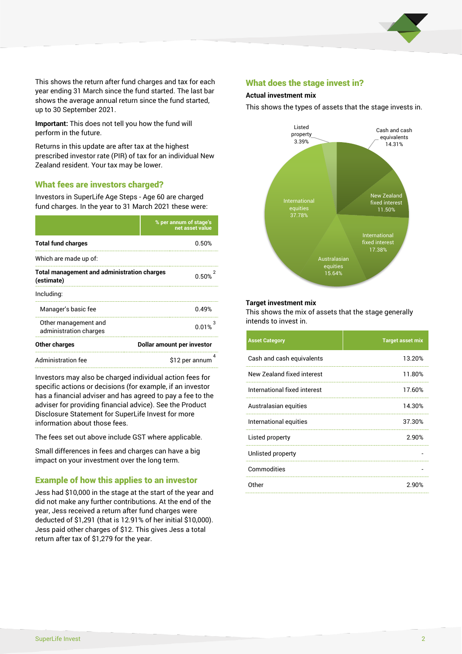

This shows the return after fund charges and tax for each year ending 31 March since the fund started. The last bar shows the average annual return since the fund started, up to 30 September 2021.

**Important:** This does not tell you how the fund will perform in the future.

Returns in this update are after tax at the highest prescribed investor rate (PIR) of tax for an individual New Zealand resident. Your tax may be lower.

# What fees are investors charged?

Investors in SuperLife Age Steps - Age 60 are charged fund charges. In the year to 31 March 2021 these were:

|                                                                  | % per annum of stage's<br>net asset value |  |
|------------------------------------------------------------------|-------------------------------------------|--|
| <b>Total fund charges</b>                                        | 0.50%                                     |  |
| Which are made up of:                                            |                                           |  |
| <b>Total management and administration charges</b><br>(estimate) | 0.50%                                     |  |
| Including:                                                       |                                           |  |
| Manager's basic fee                                              | በ 49%                                     |  |
| Other management and<br>administration charges                   | 0.01%                                     |  |
| Other charges                                                    | Dollar amount per investor                |  |
| Administration fee<br>\$12 per annum                             |                                           |  |

Investors may also be charged individual action fees for specific actions or decisions (for example, if an investor has a financial adviser and has agreed to pay a fee to the adviser for providing financial advice). See the Product Disclosure Statement for SuperLife Invest for more information about those fees.

The fees set out above include GST where applicable.

Small differences in fees and charges can have a big impact on your investment over the long term.

# Example of how this applies to an investor

Jess had \$10,000 in the stage at the start of the year and did not make any further contributions. At the end of the year, Jess received a return after fund charges were deducted of \$1,291 (that is 12.91% of her initial \$10,000). Jess paid other charges of \$12. This gives Jess a total return after tax of \$1,279 for the year.

# What does the stage invest in?

#### **Actual investment mix**

This shows the types of assets that the stage invests in.



#### **Target investment mix**

This shows the mix of assets that the stage generally intends to invest in.

| <b>Asset Category</b>        | <b>Target asset mix</b> |
|------------------------------|-------------------------|
| Cash and cash equivalents    | 13.20%                  |
| New Zealand fixed interest   | 11.80%                  |
| International fixed interest | 17.60%                  |
| Australasian equities        | 14.30%                  |
| International equities       | 37.30%                  |
| Listed property              | 2.90%                   |
| Unlisted property            |                         |
| Commodities                  |                         |
| Other                        | 2.90%                   |